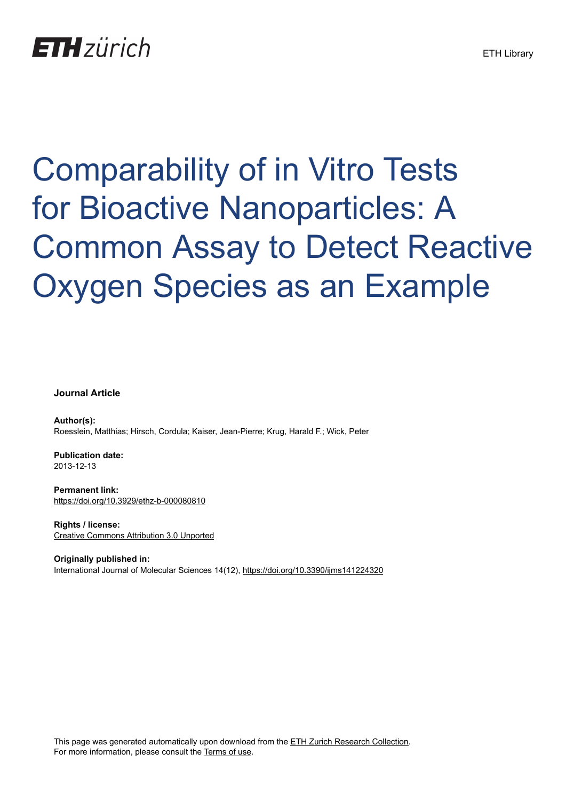## **ETH** zürich

# Comparability of in Vitro Tests for Bioactive Nanoparticles: A Common Assay to Detect Reactive Oxygen Species as an Example

#### **Journal Article**

**Author(s):** Roesslein, Matthias; Hirsch, Cordula; Kaiser, Jean-Pierre; Krug, Harald F.; Wick, Peter

**Publication date:** 2013-12-13

**Permanent link:** <https://doi.org/10.3929/ethz-b-000080810>

**Rights / license:** [Creative Commons Attribution 3.0 Unported](http://creativecommons.org/licenses/by/3.0/)

**Originally published in:** International Journal of Molecular Sciences 14(12),<https://doi.org/10.3390/ijms141224320>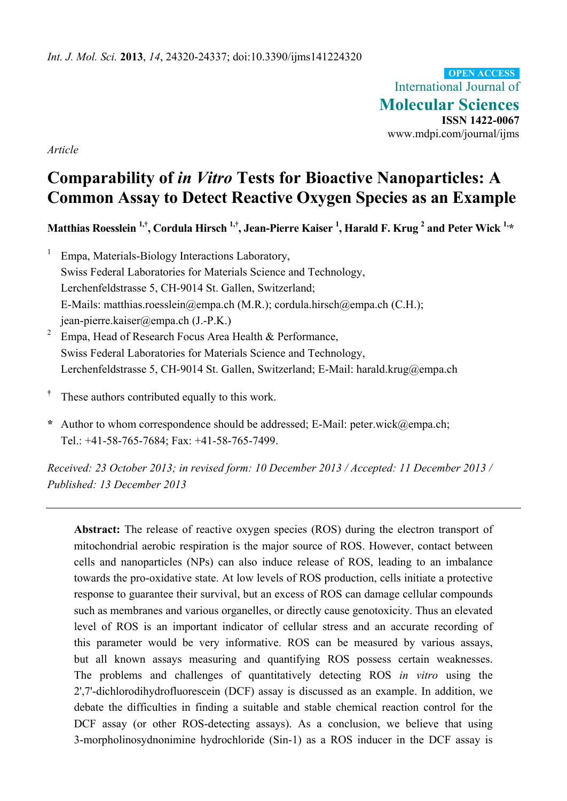International Journal of **Molecular Sciences ISSN 1422-0067**  www.mdpi.com/journal/ijms **OPEN ACCESS**

*Article* 

### **Comparability of** *in Vitro* **Tests for Bioactive Nanoparticles: A Common Assay to Detect Reactive Oxygen Species as an Example**

**Matthias Roesslein 1,†, Cordula Hirsch 1,†, Jean-Pierre Kaiser <sup>1</sup> , Harald F. Krug <sup>2</sup> and Peter Wick 1,\*** 

1 Empa, Materials-Biology Interactions Laboratory, Swiss Federal Laboratories for Materials Science and Technology, Lerchenfeldstrasse 5, CH-9014 St. Gallen, Switzerland; E-Mails: matthias.roesslein@empa.ch (M.R.); cordula.hirsch@empa.ch (C.H.); jean-pierre.kaiser@empa.ch (J.-P.K.)

<sup>2</sup> Empa, Head of Research Focus Area Health  $\&$  Performance, Swiss Federal Laboratories for Materials Science and Technology, Lerchenfeldstrasse 5, CH-9014 St. Gallen, Switzerland; E-Mail: harald.krug@empa.ch

**†** These authors contributed equally to this work.

**\*** Author to whom correspondence should be addressed; E-Mail: peter.wick@empa.ch; Tel.: +41-58-765-7684; Fax: +41-58-765-7499.

*Received: 23 October 2013; in revised form: 10 December 2013 / Accepted: 11 December 2013 / Published: 13 December 2013*

**Abstract:** The release of reactive oxygen species (ROS) during the electron transport of mitochondrial aerobic respiration is the major source of ROS. However, contact between cells and nanoparticles (NPs) can also induce release of ROS, leading to an imbalance towards the pro-oxidative state. At low levels of ROS production, cells initiate a protective response to guarantee their survival, but an excess of ROS can damage cellular compounds such as membranes and various organelles, or directly cause genotoxicity. Thus an elevated level of ROS is an important indicator of cellular stress and an accurate recording of this parameter would be very informative. ROS can be measured by various assays, but all known assays measuring and quantifying ROS possess certain weaknesses. The problems and challenges of quantitatively detecting ROS *in vitro* using the 2',7'-dichlorodihydrofluorescein (DCF) assay is discussed as an example. In addition, we debate the difficulties in finding a suitable and stable chemical reaction control for the DCF assay (or other ROS-detecting assays). As a conclusion, we believe that using 3-morpholinosydnonimine hydrochloride (Sin-1) as a ROS inducer in the DCF assay is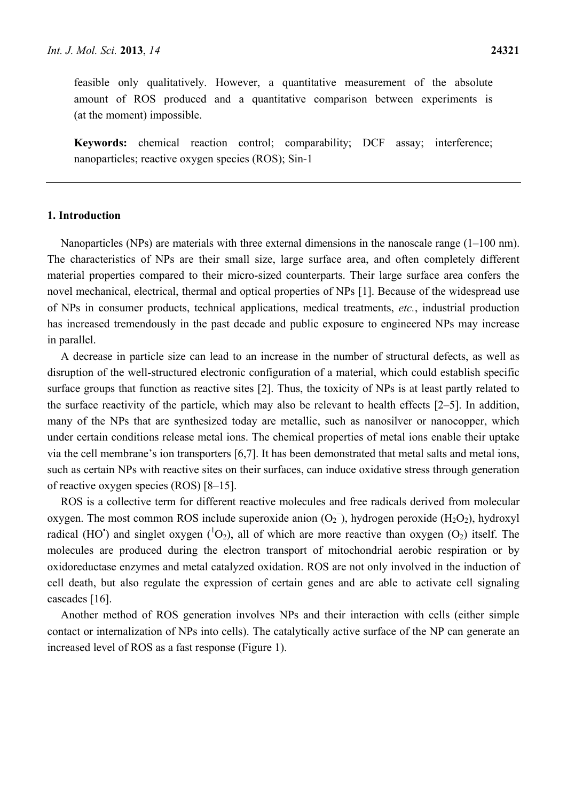feasible only qualitatively. However, a quantitative measurement of the absolute amount of ROS produced and a quantitative comparison between experiments is (at the moment) impossible.

**Keywords:** chemical reaction control; comparability; DCF assay; interference; nanoparticles; reactive oxygen species (ROS); Sin-1

#### **1. Introduction**

Nanoparticles (NPs) are materials with three external dimensions in the nanoscale range (1–100 nm). The characteristics of NPs are their small size, large surface area, and often completely different material properties compared to their micro-sized counterparts. Their large surface area confers the novel mechanical, electrical, thermal and optical properties of NPs [1]. Because of the widespread use of NPs in consumer products, technical applications, medical treatments, *etc.*, industrial production has increased tremendously in the past decade and public exposure to engineered NPs may increase in parallel.

A decrease in particle size can lead to an increase in the number of structural defects, as well as disruption of the well-structured electronic configuration of a material, which could establish specific surface groups that function as reactive sites [2]. Thus, the toxicity of NPs is at least partly related to the surface reactivity of the particle, which may also be relevant to health effects [2–5]. In addition, many of the NPs that are synthesized today are metallic, such as nanosilver or nanocopper, which under certain conditions release metal ions. The chemical properties of metal ions enable their uptake via the cell membrane's ion transporters [6,7]. It has been demonstrated that metal salts and metal ions, such as certain NPs with reactive sites on their surfaces, can induce oxidative stress through generation of reactive oxygen species (ROS) [8–15].

ROS is a collective term for different reactive molecules and free radicals derived from molecular oxygen. The most common ROS include superoxide anion  $(O_2)$ , hydrogen peroxide  $(H_2O_2)$ , hydroxyl radical (HO<sup>\*</sup>) and singlet oxygen ( ${}^{1}O_{2}$ ), all of which are more reactive than oxygen (O<sub>2</sub>) itself. The molecules are produced during the electron transport of mitochondrial aerobic respiration or by oxidoreductase enzymes and metal catalyzed oxidation. ROS are not only involved in the induction of cell death, but also regulate the expression of certain genes and are able to activate cell signaling cascades [16].

Another method of ROS generation involves NPs and their interaction with cells (either simple contact or internalization of NPs into cells). The catalytically active surface of the NP can generate an increased level of ROS as a fast response (Figure 1).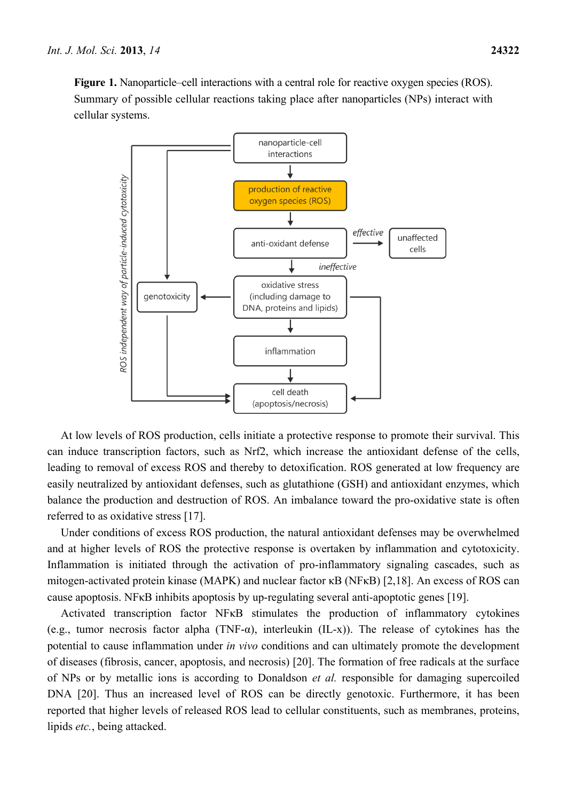**Figure 1.** Nanoparticle–cell interactions with a central role for reactive oxygen species (ROS). Summary of possible cellular reactions taking place after nanoparticles (NPs) interact with cellular systems.



At low levels of ROS production, cells initiate a protective response to promote their survival. This can induce transcription factors, such as Nrf2, which increase the antioxidant defense of the cells, leading to removal of excess ROS and thereby to detoxification. ROS generated at low frequency are easily neutralized by antioxidant defenses, such as glutathione (GSH) and antioxidant enzymes, which balance the production and destruction of ROS. An imbalance toward the pro-oxidative state is often referred to as oxidative stress [17].

Under conditions of excess ROS production, the natural antioxidant defenses may be overwhelmed and at higher levels of ROS the protective response is overtaken by inflammation and cytotoxicity. Inflammation is initiated through the activation of pro-inflammatory signaling cascades, such as mitogen-activated protein kinase (MAPK) and nuclear factor κB (NFκB) [2,18]. An excess of ROS can cause apoptosis. NFκB inhibits apoptosis by up-regulating several anti-apoptotic genes [19].

Activated transcription factor NFKB stimulates the production of inflammatory cytokines (e.g., tumor necrosis factor alpha (TNF- $\alpha$ ), interleukin (IL-x)). The release of cytokines has the potential to cause inflammation under *in vivo* conditions and can ultimately promote the development of diseases (fibrosis, cancer, apoptosis, and necrosis) [20]. The formation of free radicals at the surface of NPs or by metallic ions is according to Donaldson *et al.* responsible for damaging supercoiled DNA [20]. Thus an increased level of ROS can be directly genotoxic. Furthermore, it has been reported that higher levels of released ROS lead to cellular constituents, such as membranes, proteins, lipids *etc.*, being attacked.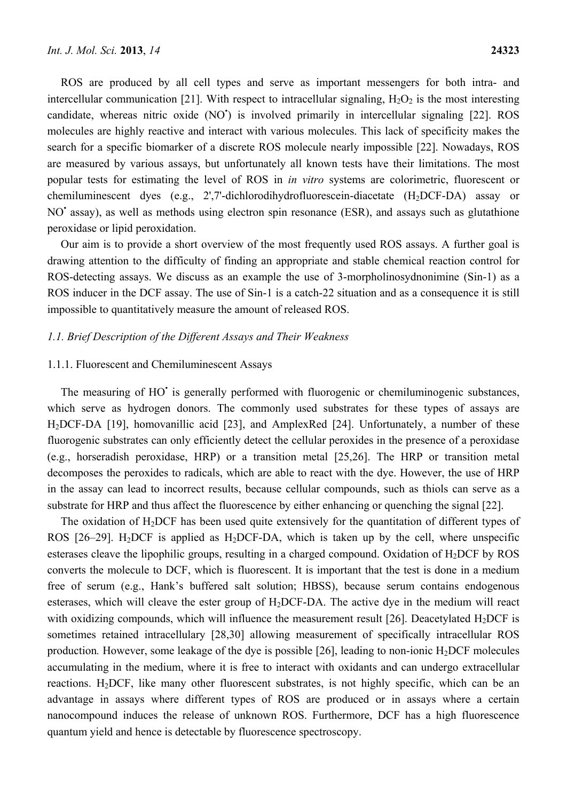ROS are produced by all cell types and serve as important messengers for both intra- and intercellular communication [21]. With respect to intracellular signaling,  $H_2O_2$  is the most interesting candidate, whereas nitric oxide (NO<sup>\*</sup>) is involved primarily in intercellular signaling [22]. ROS molecules are highly reactive and interact with various molecules. This lack of specificity makes the search for a specific biomarker of a discrete ROS molecule nearly impossible [22]. Nowadays, ROS are measured by various assays, but unfortunately all known tests have their limitations. The most popular tests for estimating the level of ROS in *in vitro* systems are colorimetric, fluorescent or chemiluminescent dyes (e.g.,  $2^1$ , 7'-dichlorodihydrofluorescein-diacetate (H<sub>2</sub>DCF-DA) assay or NO<sup>•</sup> assay), as well as methods using electron spin resonance (ESR), and assays such as glutathione peroxidase or lipid peroxidation.

Our aim is to provide a short overview of the most frequently used ROS assays. A further goal is drawing attention to the difficulty of finding an appropriate and stable chemical reaction control for ROS-detecting assays. We discuss as an example the use of 3-morpholinosydnonimine (Sin-1) as a ROS inducer in the DCF assay. The use of Sin-1 is a catch-22 situation and as a consequence it is still impossible to quantitatively measure the amount of released ROS.

#### *1.1. Brief Description of the Different Assays and Their Weakness*

#### 1.1.1. Fluorescent and Chemiluminescent Assays

The measuring of HO' is generally performed with fluorogenic or chemiluminogenic substances, which serve as hydrogen donors. The commonly used substrates for these types of assays are H2DCF-DA [19], homovanillic acid [23], and AmplexRed [24]. Unfortunately, a number of these fluorogenic substrates can only efficiently detect the cellular peroxides in the presence of a peroxidase (e.g., horseradish peroxidase, HRP) or a transition metal [25,26]. The HRP or transition metal decomposes the peroxides to radicals, which are able to react with the dye. However, the use of HRP in the assay can lead to incorrect results, because cellular compounds, such as thiols can serve as a substrate for HRP and thus affect the fluorescence by either enhancing or quenching the signal [22].

The oxidation of  $H_2$ DCF has been used quite extensively for the quantitation of different types of ROS [26–29]. H<sub>2</sub>DCF is applied as H<sub>2</sub>DCF-DA, which is taken up by the cell, where unspecific esterases cleave the lipophilic groups, resulting in a charged compound. Oxidation of  $H<sub>2</sub>DCF$  by ROS converts the molecule to DCF, which is fluorescent. It is important that the test is done in a medium free of serum (e.g., Hank's buffered salt solution; HBSS), because serum contains endogenous esterases, which will cleave the ester group of H<sub>2</sub>DCF-DA. The active dye in the medium will react with oxidizing compounds, which will influence the measurement result [26]. Deacetylated  $H<sub>2</sub>DCF$  is sometimes retained intracellulary [28,30] allowing measurement of specifically intracellular ROS production. However, some leakage of the dye is possible  $[26]$ , leading to non-ionic  $H_2DCF$  molecules accumulating in the medium, where it is free to interact with oxidants and can undergo extracellular reactions.  $H_2DCF$ , like many other fluorescent substrates, is not highly specific, which can be an advantage in assays where different types of ROS are produced or in assays where a certain nanocompound induces the release of unknown ROS. Furthermore, DCF has a high fluorescence quantum yield and hence is detectable by fluorescence spectroscopy.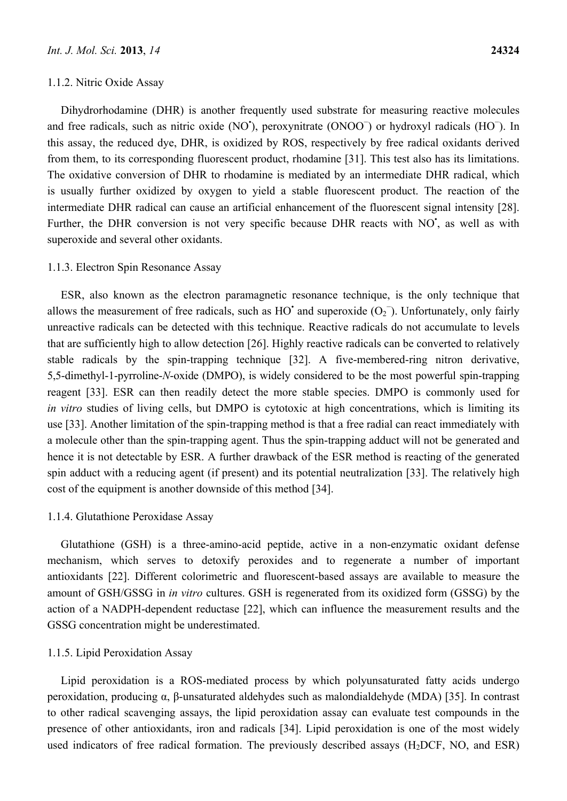#### 1.1.2. Nitric Oxide Assay

Dihydrorhodamine (DHR) is another frequently used substrate for measuring reactive molecules and free radicals, such as nitric oxide (NO'), peroxynitrate (ONOO ) or hydroxyl radicals (HO ). In this assay, the reduced dye, DHR, is oxidized by ROS, respectively by free radical oxidants derived from them, to its corresponding fluorescent product, rhodamine [31]. This test also has its limitations. The oxidative conversion of DHR to rhodamine is mediated by an intermediate DHR radical, which is usually further oxidized by oxygen to yield a stable fluorescent product. The reaction of the intermediate DHR radical can cause an artificial enhancement of the fluorescent signal intensity [28]. Further, the DHR conversion is not very specific because DHR reacts with NO', as well as with superoxide and several other oxidants.

#### 1.1.3. Electron Spin Resonance Assay

ESR, also known as the electron paramagnetic resonance technique, is the only technique that allows the measurement of free radicals, such as  $HO^*$  and superoxide  $(O_2^-)$ . Unfortunately, only fairly unreactive radicals can be detected with this technique. Reactive radicals do not accumulate to levels that are sufficiently high to allow detection [26]. Highly reactive radicals can be converted to relatively stable radicals by the spin-trapping technique [32]. A five-membered-ring nitron derivative, 5,5-dimethyl-1-pyrroline-*N*-oxide (DMPO), is widely considered to be the most powerful spin-trapping reagent [33]. ESR can then readily detect the more stable species. DMPO is commonly used for *in vitro* studies of living cells, but DMPO is cytotoxic at high concentrations, which is limiting its use [33]. Another limitation of the spin-trapping method is that a free radial can react immediately with a molecule other than the spin-trapping agent. Thus the spin-trapping adduct will not be generated and hence it is not detectable by ESR. A further drawback of the ESR method is reacting of the generated spin adduct with a reducing agent (if present) and its potential neutralization [33]. The relatively high cost of the equipment is another downside of this method [34].

#### 1.1.4. Glutathione Peroxidase Assay

Glutathione (GSH) is a three-amino-acid peptide, active in a non-enzymatic oxidant defense mechanism, which serves to detoxify peroxides and to regenerate a number of important antioxidants [22]. Different colorimetric and fluorescent-based assays are available to measure the amount of GSH/GSSG in *in vitro* cultures. GSH is regenerated from its oxidized form (GSSG) by the action of a NADPH-dependent reductase [22], which can influence the measurement results and the GSSG concentration might be underestimated.

#### 1.1.5. Lipid Peroxidation Assay

Lipid peroxidation is a ROS-mediated process by which polyunsaturated fatty acids undergo peroxidation, producing α, β-unsaturated aldehydes such as malondialdehyde (MDA) [35]. In contrast to other radical scavenging assays, the lipid peroxidation assay can evaluate test compounds in the presence of other antioxidants, iron and radicals [34]. Lipid peroxidation is one of the most widely used indicators of free radical formation. The previously described assays  $(H<sub>2</sub>DCF, NO, and ESR)$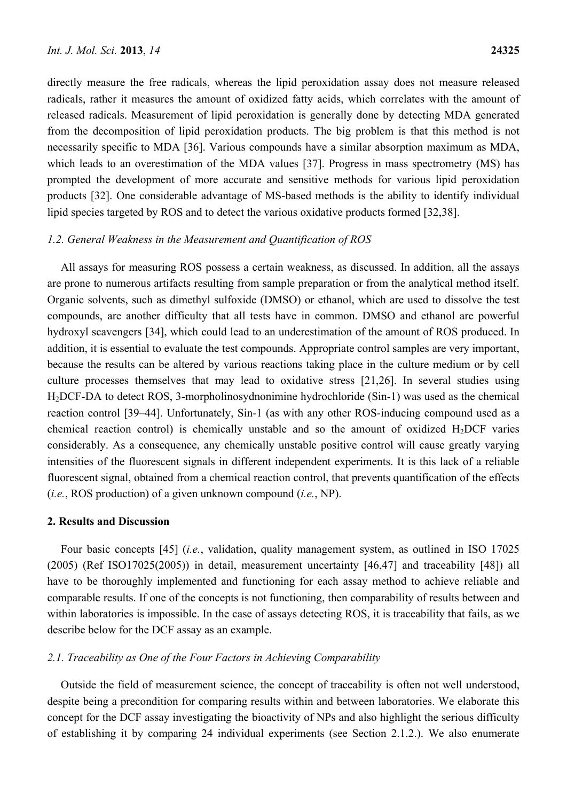directly measure the free radicals, whereas the lipid peroxidation assay does not measure released radicals, rather it measures the amount of oxidized fatty acids, which correlates with the amount of released radicals. Measurement of lipid peroxidation is generally done by detecting MDA generated from the decomposition of lipid peroxidation products. The big problem is that this method is not necessarily specific to MDA [36]. Various compounds have a similar absorption maximum as MDA, which leads to an overestimation of the MDA values [37]. Progress in mass spectrometry (MS) has prompted the development of more accurate and sensitive methods for various lipid peroxidation products [32]. One considerable advantage of MS-based methods is the ability to identify individual lipid species targeted by ROS and to detect the various oxidative products formed [32,38].

#### *1.2. General Weakness in the Measurement and Quantification of ROS*

All assays for measuring ROS possess a certain weakness, as discussed. In addition, all the assays are prone to numerous artifacts resulting from sample preparation or from the analytical method itself. Organic solvents, such as dimethyl sulfoxide (DMSO) or ethanol, which are used to dissolve the test compounds, are another difficulty that all tests have in common. DMSO and ethanol are powerful hydroxyl scavengers [34], which could lead to an underestimation of the amount of ROS produced. In addition, it is essential to evaluate the test compounds. Appropriate control samples are very important, because the results can be altered by various reactions taking place in the culture medium or by cell culture processes themselves that may lead to oxidative stress [21,26]. In several studies using H2DCF-DA to detect ROS, 3-morpholinosydnonimine hydrochloride (Sin-1) was used as the chemical reaction control [39–44]. Unfortunately, Sin-1 (as with any other ROS-inducing compound used as a chemical reaction control) is chemically unstable and so the amount of oxidized  $H<sub>2</sub>DCF$  varies considerably. As a consequence, any chemically unstable positive control will cause greatly varying intensities of the fluorescent signals in different independent experiments. It is this lack of a reliable fluorescent signal, obtained from a chemical reaction control, that prevents quantification of the effects (*i.e.*, ROS production) of a given unknown compound (*i.e.*, NP).

#### **2. Results and Discussion**

Four basic concepts [45] (*i.e.*, validation, quality management system, as outlined in ISO 17025 (2005) (Ref ISO17025(2005)) in detail, measurement uncertainty [46,47] and traceability [48]) all have to be thoroughly implemented and functioning for each assay method to achieve reliable and comparable results. If one of the concepts is not functioning, then comparability of results between and within laboratories is impossible. In the case of assays detecting ROS, it is traceability that fails, as we describe below for the DCF assay as an example.

#### *2.1. Traceability as One of the Four Factors in Achieving Comparability*

Outside the field of measurement science, the concept of traceability is often not well understood, despite being a precondition for comparing results within and between laboratories. We elaborate this concept for the DCF assay investigating the bioactivity of NPs and also highlight the serious difficulty of establishing it by comparing 24 individual experiments (see Section 2.1.2.). We also enumerate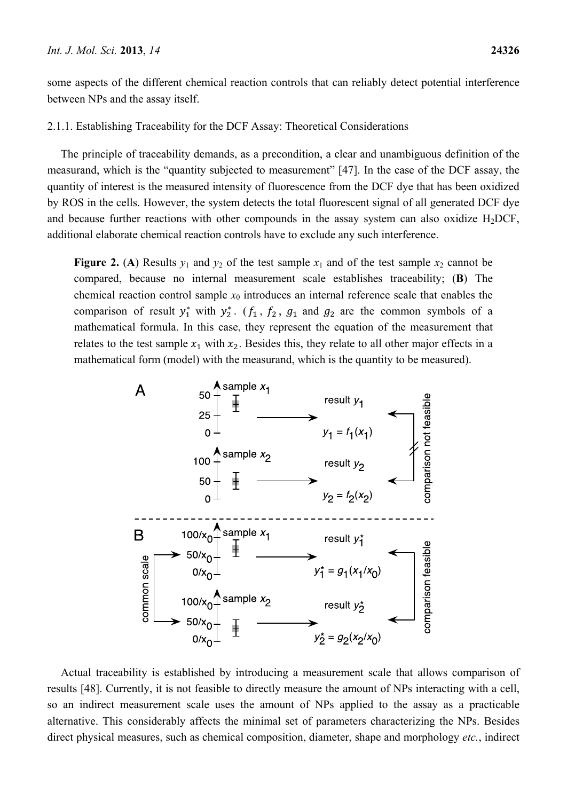some aspects of the different chemical reaction controls that can reliably detect potential interference between NPs and the assay itself.

2.1.1. Establishing Traceability for the DCF Assay: Theoretical Considerations

The principle of traceability demands, as a precondition, a clear and unambiguous definition of the measurand, which is the "quantity subjected to measurement" [47]. In the case of the DCF assay, the quantity of interest is the measured intensity of fluorescence from the DCF dye that has been oxidized by ROS in the cells. However, the system detects the total fluorescent signal of all generated DCF dye and because further reactions with other compounds in the assay system can also oxidize  $H_2DCF$ , additional elaborate chemical reaction controls have to exclude any such interference.

**Figure 2.** (A) Results  $y_1$  and  $y_2$  of the test sample  $x_1$  and of the test sample  $x_2$  cannot be compared, because no internal measurement scale establishes traceability; (**B**) The chemical reaction control sample  $x_0$  introduces an internal reference scale that enables the comparison of result  $y_1^*$  with  $y_2^*$ .  $(f_1, f_2, g_1)$  and  $g_2$  are the common symbols of a mathematical formula. In this case, they represent the equation of the measurement that relates to the test sample  $x_1$  with  $x_2$ . Besides this, they relate to all other major effects in a mathematical form (model) with the measurand, which is the quantity to be measured).



Actual traceability is established by introducing a measurement scale that allows comparison of results [48]. Currently, it is not feasible to directly measure the amount of NPs interacting with a cell, so an indirect measurement scale uses the amount of NPs applied to the assay as a practicable alternative. This considerably affects the minimal set of parameters characterizing the NPs. Besides direct physical measures, such as chemical composition, diameter, shape and morphology *etc.*, indirect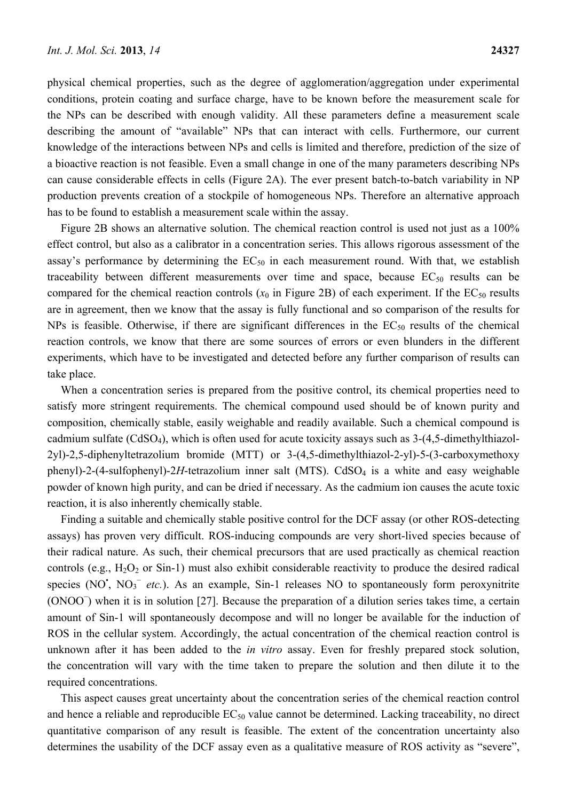physical chemical properties, such as the degree of agglomeration/aggregation under experimental conditions, protein coating and surface charge, have to be known before the measurement scale for the NPs can be described with enough validity. All these parameters define a measurement scale describing the amount of "available" NPs that can interact with cells. Furthermore, our current knowledge of the interactions between NPs and cells is limited and therefore, prediction of the size of a bioactive reaction is not feasible. Even a small change in one of the many parameters describing NPs can cause considerable effects in cells (Figure 2A). The ever present batch-to-batch variability in NP production prevents creation of a stockpile of homogeneous NPs. Therefore an alternative approach has to be found to establish a measurement scale within the assay.

Figure 2B shows an alternative solution. The chemical reaction control is used not just as a 100% effect control, but also as a calibrator in a concentration series. This allows rigorous assessment of the assay's performance by determining the  $EC_{50}$  in each measurement round. With that, we establish traceability between different measurements over time and space, because  $EC_{50}$  results can be compared for the chemical reaction controls  $(x_0$  in Figure 2B) of each experiment. If the  $EC_{50}$  results are in agreement, then we know that the assay is fully functional and so comparison of the results for NPs is feasible. Otherwise, if there are significant differences in the  $EC_{50}$  results of the chemical reaction controls, we know that there are some sources of errors or even blunders in the different experiments, which have to be investigated and detected before any further comparison of results can take place.

When a concentration series is prepared from the positive control, its chemical properties need to satisfy more stringent requirements. The chemical compound used should be of known purity and composition, chemically stable, easily weighable and readily available. Such a chemical compound is cadmium sulfate  $(CdSO<sub>4</sub>)$ , which is often used for acute toxicity assays such as  $3-(4,5$ -dimethylthiazol-2yl)-2,5-diphenyltetrazolium bromide (MTT) or 3-(4,5-dimethylthiazol-2-yl)-5-(3-carboxymethoxy phenyl)-2-(4-sulfophenyl)-2*H*-tetrazolium inner salt (MTS). CdSO<sub>4</sub> is a white and easy weighable powder of known high purity, and can be dried if necessary. As the cadmium ion causes the acute toxic reaction, it is also inherently chemically stable.

Finding a suitable and chemically stable positive control for the DCF assay (or other ROS-detecting assays) has proven very difficult. ROS-inducing compounds are very short-lived species because of their radical nature. As such, their chemical precursors that are used practically as chemical reaction controls (e.g.,  $H_2O_2$  or Sin-1) must also exhibit considerable reactivity to produce the desired radical species (NO<sup>\*</sup>, NO<sub>3</sub><sup>-</sup> etc.). As an example, Sin-1 releases NO to spontaneously form peroxynitrite (ONOO<sup>-</sup>) when it is in solution [27]. Because the preparation of a dilution series takes time, a certain amount of Sin-1 will spontaneously decompose and will no longer be available for the induction of ROS in the cellular system. Accordingly, the actual concentration of the chemical reaction control is unknown after it has been added to the *in vitro* assay. Even for freshly prepared stock solution, the concentration will vary with the time taken to prepare the solution and then dilute it to the required concentrations.

This aspect causes great uncertainty about the concentration series of the chemical reaction control and hence a reliable and reproducible  $EC_{50}$  value cannot be determined. Lacking traceability, no direct quantitative comparison of any result is feasible. The extent of the concentration uncertainty also determines the usability of the DCF assay even as a qualitative measure of ROS activity as "severe",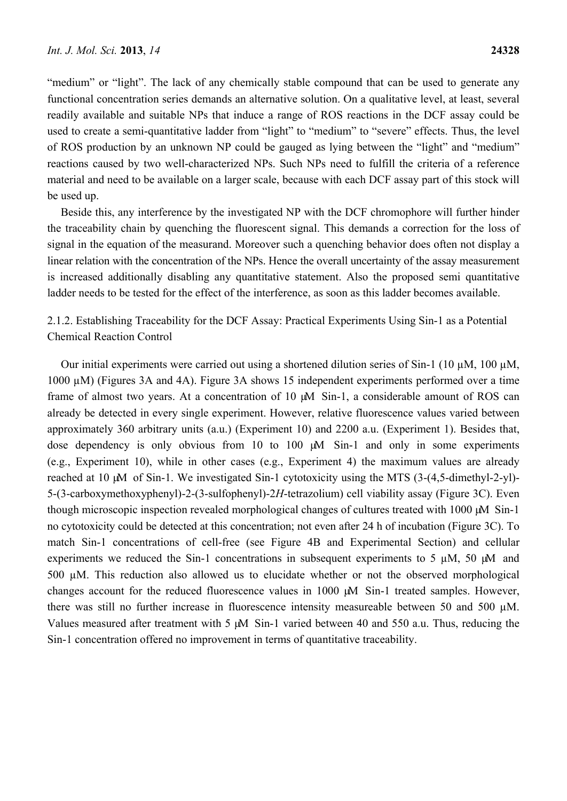"medium" or "light". The lack of any chemically stable compound that can be used to generate any functional concentration series demands an alternative solution. On a qualitative level, at least, several readily available and suitable NPs that induce a range of ROS reactions in the DCF assay could be used to create a semi-quantitative ladder from "light" to "medium" to "severe" effects. Thus, the level of ROS production by an unknown NP could be gauged as lying between the "light" and "medium" reactions caused by two well-characterized NPs. Such NPs need to fulfill the criteria of a reference material and need to be available on a larger scale, because with each DCF assay part of this stock will be used up.

Beside this, any interference by the investigated NP with the DCF chromophore will further hinder the traceability chain by quenching the fluorescent signal. This demands a correction for the loss of signal in the equation of the measurand. Moreover such a quenching behavior does often not display a linear relation with the concentration of the NPs. Hence the overall uncertainty of the assay measurement is increased additionally disabling any quantitative statement. Also the proposed semi quantitative ladder needs to be tested for the effect of the interference, as soon as this ladder becomes available.

#### 2.1.2. Establishing Traceability for the DCF Assay: Practical Experiments Using Sin-1 as a Potential Chemical Reaction Control

Our initial experiments were carried out using a shortened dilution series of Sin-1 (10 µM, 100 µM, 1000 µM) (Figures 3A and 4A). Figure 3A shows 15 independent experiments performed over a time frame of almost two years. At a concentration of 10 µM Sin-1, a considerable amount of ROS can already be detected in every single experiment. However, relative fluorescence values varied between approximately 360 arbitrary units (a.u.) (Experiment 10) and 2200 a.u. (Experiment 1). Besides that, dose dependency is only obvious from 10 to 100 µM Sin-1 and only in some experiments (e.g., Experiment 10), while in other cases (e.g., Experiment 4) the maximum values are already reached at 10 µM of Sin-1. We investigated Sin-1 cytotoxicity using the MTS (3-(4,5-dimethyl-2-yl)- 5-(3-carboxymethoxyphenyl)-2-(3-sulfophenyl)-2*H*-tetrazolium) cell viability assay (Figure 3C). Even though microscopic inspection revealed morphological changes of cultures treated with 1000 µM Sin-1 no cytotoxicity could be detected at this concentration; not even after 24 h of incubation (Figure 3C). To match Sin-1 concentrations of cell-free (see Figure 4B and Experimental Section) and cellular experiments we reduced the Sin-1 concentrations in subsequent experiments to 5  $\mu$ M, 50  $\mu$ M and 500 µM. This reduction also allowed us to elucidate whether or not the observed morphological changes account for the reduced fluorescence values in 1000 µM Sin-1 treated samples. However, there was still no further increase in fluorescence intensity measureable between 50 and 500 µM. Values measured after treatment with 5  $\mu$ M Sin-1 varied between 40 and 550 a.u. Thus, reducing the Sin-1 concentration offered no improvement in terms of quantitative traceability.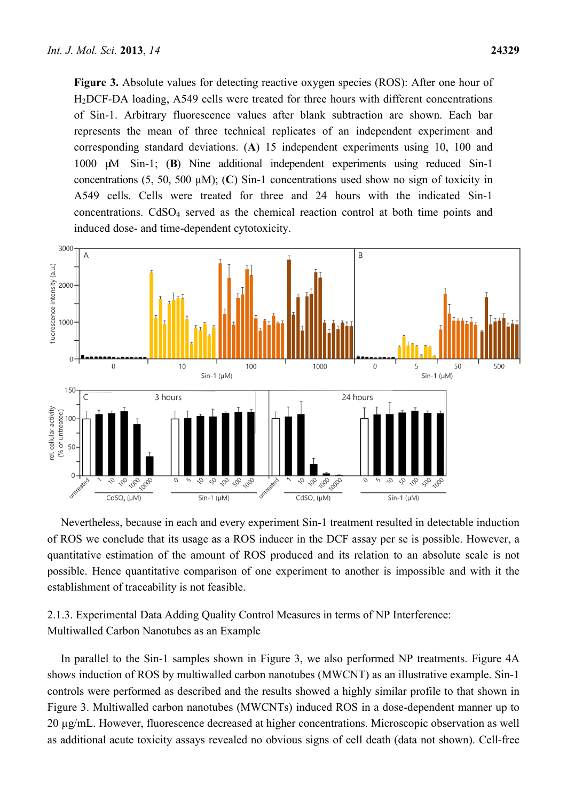**Figure 3.** Absolute values for detecting reactive oxygen species (ROS): After one hour of H2DCF-DA loading, A549 cells were treated for three hours with different concentrations of Sin-1. Arbitrary fluorescence values after blank subtraction are shown. Each bar represents the mean of three technical replicates of an independent experiment and corresponding standard deviations. (**A**) 15 independent experiments using 10, 100 and 1000 µM Sin-1; (**B**) Nine additional independent experiments using reduced Sin-1 concentrations (5, 50, 500 µM); (**C**) Sin-1 concentrations used show no sign of toxicity in A549 cells. Cells were treated for three and 24 hours with the indicated Sin-1 concentrations. CdSO4 served as the chemical reaction control at both time points and induced dose- and time-dependent cytotoxicity.



Nevertheless, because in each and every experiment Sin-1 treatment resulted in detectable induction of ROS we conclude that its usage as a ROS inducer in the DCF assay per se is possible. However, a quantitative estimation of the amount of ROS produced and its relation to an absolute scale is not possible. Hence quantitative comparison of one experiment to another is impossible and with it the establishment of traceability is not feasible.

#### 2.1.3. Experimental Data Adding Quality Control Measures in terms of NP Interference: Multiwalled Carbon Nanotubes as an Example

In parallel to the Sin-1 samples shown in Figure 3, we also performed NP treatments. Figure 4A shows induction of ROS by multiwalled carbon nanotubes (MWCNT) as an illustrative example. Sin-1 controls were performed as described and the results showed a highly similar profile to that shown in Figure 3. Multiwalled carbon nanotubes (MWCNTs) induced ROS in a dose-dependent manner up to 20 µg/mL. However, fluorescence decreased at higher concentrations. Microscopic observation as well as additional acute toxicity assays revealed no obvious signs of cell death (data not shown). Cell-free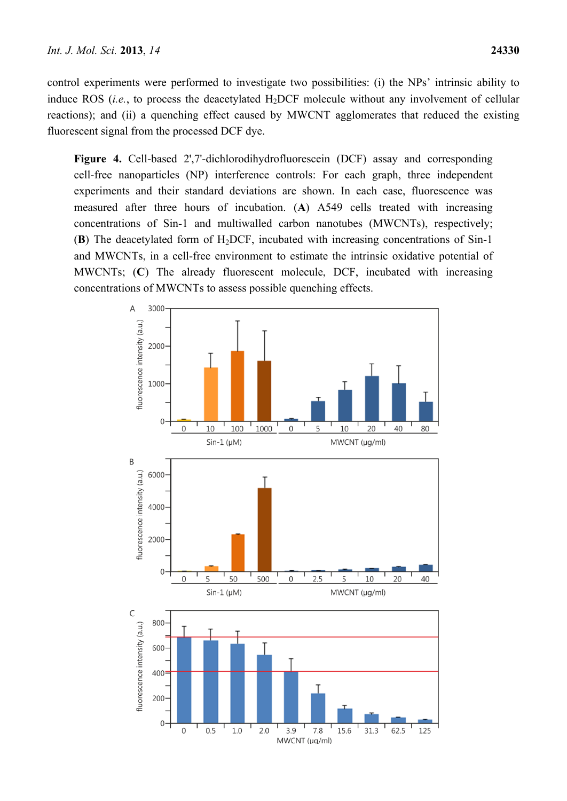control experiments were performed to investigate two possibilities: (i) the NPs' intrinsic ability to induce ROS *(i.e., to process the deacetylated H<sub>2</sub>DCF molecule without any involvement of cellular* reactions); and (ii) a quenching effect caused by MWCNT agglomerates that reduced the existing fluorescent signal from the processed DCF dye.

**Figure 4.** Cell-based 2',7'-dichlorodihydrofluorescein (DCF) assay and corresponding cell-free nanoparticles (NP) interference controls: For each graph, three independent experiments and their standard deviations are shown. In each case, fluorescence was measured after three hours of incubation. (**A**) A549 cells treated with increasing concentrations of Sin-1 and multiwalled carbon nanotubes (MWCNTs), respectively;  $(B)$  The deacetylated form of H<sub>2</sub>DCF, incubated with increasing concentrations of Sin-1 and MWCNTs, in a cell-free environment to estimate the intrinsic oxidative potential of MWCNTs; (**C**) The already fluorescent molecule, DCF, incubated with increasing concentrations of MWCNTs to assess possible quenching effects.

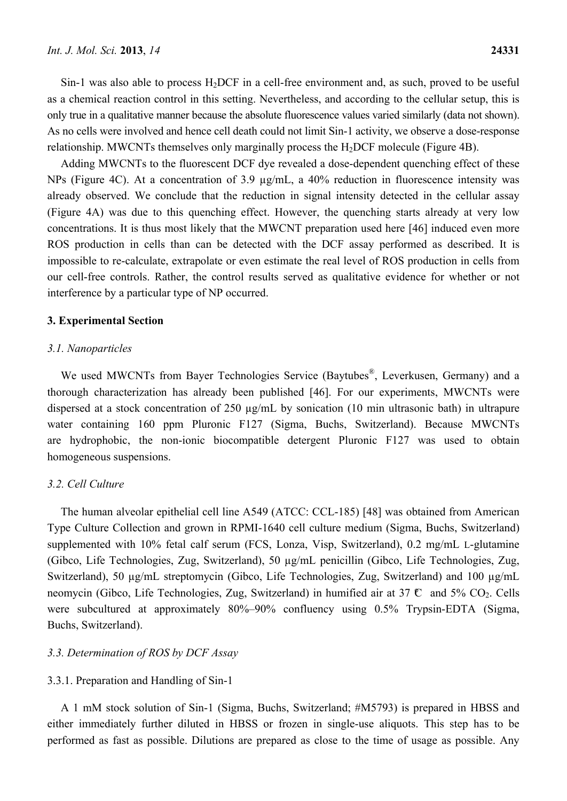$Sin-1$  was also able to process  $H<sub>2</sub>DCF$  in a cell-free environment and, as such, proved to be useful as a chemical reaction control in this setting. Nevertheless, and according to the cellular setup, this is only true in a qualitative manner because the absolute fluorescence values varied similarly (data not shown). As no cells were involved and hence cell death could not limit Sin-1 activity, we observe a dose-response relationship. MWCNTs themselves only marginally process the  $H<sub>2</sub>DCF$  molecule (Figure 4B).

Adding MWCNTs to the fluorescent DCF dye revealed a dose-dependent quenching effect of these NPs (Figure 4C). At a concentration of 3.9 µg/mL, a 40% reduction in fluorescence intensity was already observed. We conclude that the reduction in signal intensity detected in the cellular assay (Figure 4A) was due to this quenching effect. However, the quenching starts already at very low concentrations. It is thus most likely that the MWCNT preparation used here [46] induced even more ROS production in cells than can be detected with the DCF assay performed as described. It is impossible to re-calculate, extrapolate or even estimate the real level of ROS production in cells from our cell-free controls. Rather, the control results served as qualitative evidence for whether or not interference by a particular type of NP occurred.

#### **3. Experimental Section**

#### *3.1. Nanoparticles*

We used MWCNTs from Bayer Technologies Service (Baytubes®, Leverkusen, Germany) and a thorough characterization has already been published [46]. For our experiments, MWCNTs were dispersed at a stock concentration of 250 µg/mL by sonication (10 min ultrasonic bath) in ultrapure water containing 160 ppm Pluronic F127 (Sigma, Buchs, Switzerland). Because MWCNTs are hydrophobic, the non-ionic biocompatible detergent Pluronic F127 was used to obtain homogeneous suspensions.

#### *3.2. Cell Culture*

The human alveolar epithelial cell line A549 (ATCC: CCL-185) [48] was obtained from American Type Culture Collection and grown in RPMI-1640 cell culture medium (Sigma, Buchs, Switzerland) supplemented with 10% fetal calf serum (FCS, Lonza, Visp, Switzerland), 0.2 mg/mL L-glutamine (Gibco, Life Technologies, Zug, Switzerland), 50 µg/mL penicillin (Gibco, Life Technologies, Zug, Switzerland), 50 µg/mL streptomycin (Gibco, Life Technologies, Zug, Switzerland) and 100 µg/mL neomycin (Gibco, Life Technologies, Zug, Switzerland) in humified air at 37  $\mathbb{C}$  and 5% CO<sub>2</sub>. Cells were subcultured at approximately 80%–90% confluency using 0.5% Trypsin-EDTA (Sigma, Buchs, Switzerland).

#### *3.3. Determination of ROS by DCF Assay*

#### 3.3.1. Preparation and Handling of Sin-1

A 1 mM stock solution of Sin-1 (Sigma, Buchs, Switzerland; #M5793) is prepared in HBSS and either immediately further diluted in HBSS or frozen in single-use aliquots. This step has to be performed as fast as possible. Dilutions are prepared as close to the time of usage as possible. Any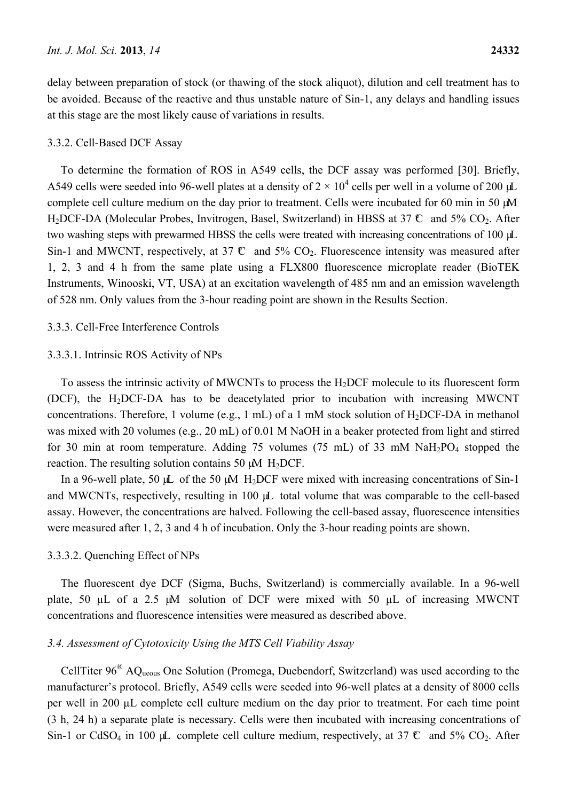delay between preparation of stock (or thawing of the stock aliquot), dilution and cell treatment has to be avoided. Because of the reactive and thus unstable nature of Sin-1, any delays and handling issues at this stage are the most likely cause of variations in results.

#### 3.3.2. Cell-Based DCF Assay

To determine the formation of ROS in A549 cells, the DCF assay was performed [30]. Briefly, A549 cells were seeded into 96-well plates at a density of  $2 \times 10^4$  cells per well in a volume of 200 µL complete cell culture medium on the day prior to treatment. Cells were incubated for 60 min in 50  $\mu$ M H<sub>2</sub>DCF-DA (Molecular Probes, Invitrogen, Basel, Switzerland) in HBSS at 37  $\mathbb{C}$  and 5% CO<sub>2</sub>. After two washing steps with prewarmed HBSS the cells were treated with increasing concentrations of 100 µL Sin-1 and MWCNT, respectively, at 37  $\mathbb{C}$  and 5% CO<sub>2</sub>. Fluorescence intensity was measured after 1, 2, 3 and 4 h from the same plate using a FLX800 fluorescence microplate reader (BioTEK Instruments, Winooski, VT, USA) at an excitation wavelength of 485 nm and an emission wavelength of 528 nm. Only values from the 3-hour reading point are shown in the Results Section.

#### 3.3.3. Cell-Free Interference Controls

#### 3.3.3.1. Intrinsic ROS Activity of NPs

To assess the intrinsic activity of MWCNTs to process the  $H<sub>2</sub>DCF$  molecule to its fluorescent form (DCF), the  $H<sub>2</sub>DCF-DA$  has to be deacetylated prior to incubation with increasing MWCNT concentrations. Therefore, 1 volume (e.g., 1 mL) of a 1 mM stock solution of  $H<sub>2</sub>DCF-DA$  in methanol was mixed with 20 volumes (e.g., 20 mL) of 0.01 M NaOH in a beaker protected from light and stirred for 30 min at room temperature. Adding 75 volumes (75 mL) of 33 mM  $NaH<sub>2</sub>PO<sub>4</sub>$  stopped the reaction. The resulting solution contains 50  $\mu$ M H<sub>2</sub>DCF.

In a 96-well plate, 50  $\mu$  of the 50  $\mu$ M H<sub>2</sub>DCF were mixed with increasing concentrations of Sin-1 and MWCNTs, respectively, resulting in 100 µL total volume that was comparable to the cell-based assay. However, the concentrations are halved. Following the cell-based assay, fluorescence intensities were measured after 1, 2, 3 and 4 h of incubation. Only the 3-hour reading points are shown.

#### 3.3.3.2. Quenching Effect of NPs

The fluorescent dye DCF (Sigma, Buchs, Switzerland) is commercially available. In a 96-well plate, 50 µL of a 2.5 µM solution of DCF were mixed with 50 µL of increasing MWCNT concentrations and fluorescence intensities were measured as described above.

#### *3.4. Assessment of Cytotoxicity Using the MTS Cell Viability Assay*

CellTiter 96® AQueous One Solution (Promega, Duebendorf, Switzerland) was used according to the manufacturer's protocol. Briefly, A549 cells were seeded into 96-well plates at a density of 8000 cells per well in 200 µL complete cell culture medium on the day prior to treatment. For each time point (3 h, 24 h) a separate plate is necessary. Cells were then incubated with increasing concentrations of Sin-1 or CdSO<sub>4</sub> in 100 µL complete cell culture medium, respectively, at 37  $\mathbb{C}$  and 5% CO<sub>2</sub>. After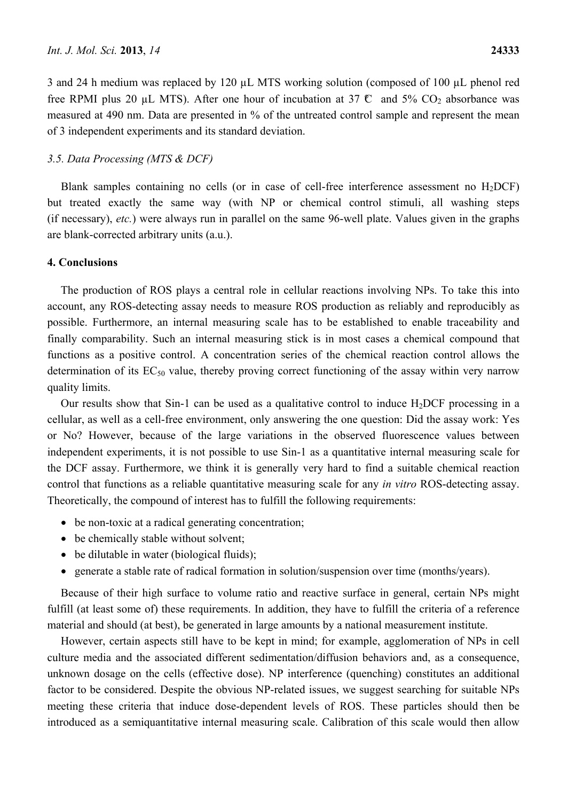3 and 24 h medium was replaced by 120 µL MTS working solution (composed of 100 µL phenol red free RPMI plus 20 µL MTS). After one hour of incubation at 37  $\mathbb{C}$  and 5% CO<sub>2</sub> absorbance was measured at 490 nm. Data are presented in % of the untreated control sample and represent the mean of 3 independent experiments and its standard deviation.

#### *3.5. Data Processing (MTS & DCF)*

Blank samples containing no cells (or in case of cell-free interference assessment no  $H<sub>2</sub>DCF$ ) but treated exactly the same way (with NP or chemical control stimuli, all washing steps (if necessary), *etc.*) were always run in parallel on the same 96-well plate. Values given in the graphs are blank-corrected arbitrary units (a.u.).

#### **4. Conclusions**

The production of ROS plays a central role in cellular reactions involving NPs. To take this into account, any ROS-detecting assay needs to measure ROS production as reliably and reproducibly as possible. Furthermore, an internal measuring scale has to be established to enable traceability and finally comparability. Such an internal measuring stick is in most cases a chemical compound that functions as a positive control. A concentration series of the chemical reaction control allows the determination of its  $EC_{50}$  value, thereby proving correct functioning of the assay within very narrow quality limits.

Our results show that Sin-1 can be used as a qualitative control to induce  $H<sub>2</sub>DCF$  processing in a cellular, as well as a cell-free environment, only answering the one question: Did the assay work: Yes or No? However, because of the large variations in the observed fluorescence values between independent experiments, it is not possible to use Sin-1 as a quantitative internal measuring scale for the DCF assay. Furthermore, we think it is generally very hard to find a suitable chemical reaction control that functions as a reliable quantitative measuring scale for any *in vitro* ROS-detecting assay. Theoretically, the compound of interest has to fulfill the following requirements:

- be non-toxic at a radical generating concentration;
- be chemically stable without solvent;
- be dilutable in water (biological fluids);
- generate a stable rate of radical formation in solution/suspension over time (months/years).

Because of their high surface to volume ratio and reactive surface in general, certain NPs might fulfill (at least some of) these requirements. In addition, they have to fulfill the criteria of a reference material and should (at best), be generated in large amounts by a national measurement institute.

However, certain aspects still have to be kept in mind; for example, agglomeration of NPs in cell culture media and the associated different sedimentation/diffusion behaviors and, as a consequence, unknown dosage on the cells (effective dose). NP interference (quenching) constitutes an additional factor to be considered. Despite the obvious NP-related issues, we suggest searching for suitable NPs meeting these criteria that induce dose-dependent levels of ROS. These particles should then be introduced as a semiquantitative internal measuring scale. Calibration of this scale would then allow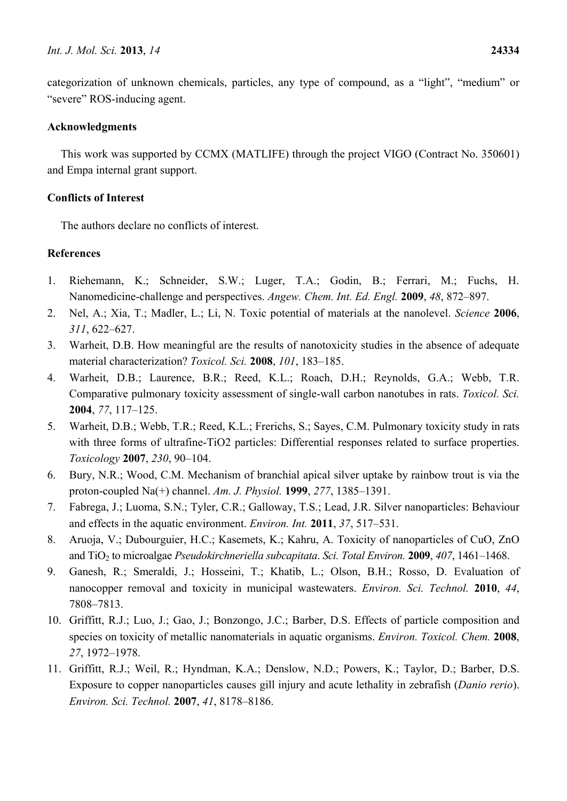categorization of unknown chemicals, particles, any type of compound, as a "light", "medium" or "severe" ROS-inducing agent.

#### **Acknowledgments**

This work was supported by CCMX (MATLIFE) through the project VIGO (Contract No. 350601) and Empa internal grant support.

#### **Conflicts of Interest**

The authors declare no conflicts of interest.

#### **References**

- 1. Riehemann, K.; Schneider, S.W.; Luger, T.A.; Godin, B.; Ferrari, M.; Fuchs, H. Nanomedicine-challenge and perspectives. *Angew. Chem. Int. Ed. Engl.* **2009**, *48*, 872–897.
- 2. Nel, A.; Xia, T.; Madler, L.; Li, N. Toxic potential of materials at the nanolevel. *Science* **2006**, *311*, 622–627.
- 3. Warheit, D.B. How meaningful are the results of nanotoxicity studies in the absence of adequate material characterization? *Toxicol. Sci.* **2008**, *101*, 183–185.
- 4. Warheit, D.B.; Laurence, B.R.; Reed, K.L.; Roach, D.H.; Reynolds, G.A.; Webb, T.R. Comparative pulmonary toxicity assessment of single-wall carbon nanotubes in rats. *Toxicol. Sci.*  **2004**, *77*, 117–125.
- 5. Warheit, D.B.; Webb, T.R.; Reed, K.L.; Frerichs, S.; Sayes, C.M. Pulmonary toxicity study in rats with three forms of ultrafine-TiO2 particles: Differential responses related to surface properties. *Toxicology* **2007**, *230*, 90–104.
- 6. Bury, N.R.; Wood, C.M. Mechanism of branchial apical silver uptake by rainbow trout is via the proton-coupled Na(+) channel. *Am. J. Physiol.* **1999**, *277*, 1385–1391.
- 7. Fabrega, J.; Luoma, S.N.; Tyler, C.R.; Galloway, T.S.; Lead, J.R. Silver nanoparticles: Behaviour and effects in the aquatic environment. *Environ. Int.* **2011**, *37*, 517–531.
- 8. Aruoja, V.; Dubourguier, H.C.; Kasemets, K.; Kahru, A. Toxicity of nanoparticles of CuO, ZnO and TiO<sup>2</sup> to microalgae *Pseudokirchneriella subcapitata*. *Sci. Total Environ.* **2009**, *407*, 1461–1468.
- 9. Ganesh, R.; Smeraldi, J.; Hosseini, T.; Khatib, L.; Olson, B.H.; Rosso, D. Evaluation of nanocopper removal and toxicity in municipal wastewaters. *Environ. Sci. Technol.* **2010**, *44*, 7808–7813.
- 10. Griffitt, R.J.; Luo, J.; Gao, J.; Bonzongo, J.C.; Barber, D.S. Effects of particle composition and species on toxicity of metallic nanomaterials in aquatic organisms. *Environ. Toxicol. Chem.* **2008**, *27*, 1972–1978.
- 11. Griffitt, R.J.; Weil, R.; Hyndman, K.A.; Denslow, N.D.; Powers, K.; Taylor, D.; Barber, D.S. Exposure to copper nanoparticles causes gill injury and acute lethality in zebrafish (*Danio rerio*). *Environ. Sci. Technol.* **2007**, *41*, 8178–8186.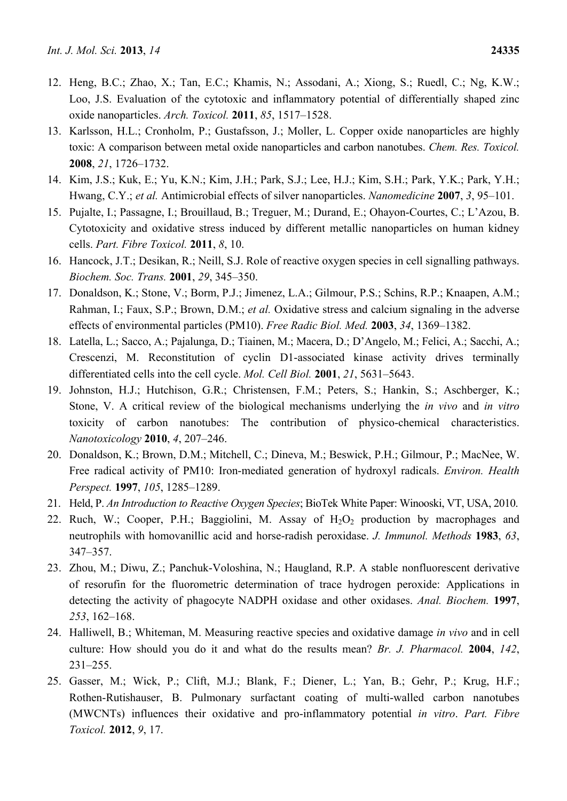- 12. Heng, B.C.; Zhao, X.; Tan, E.C.; Khamis, N.; Assodani, A.; Xiong, S.; Ruedl, C.; Ng, K.W.; Loo, J.S. Evaluation of the cytotoxic and inflammatory potential of differentially shaped zinc oxide nanoparticles. *Arch. Toxicol.* **2011**, *85*, 1517–1528.
- 13. Karlsson, H.L.; Cronholm, P.; Gustafsson, J.; Moller, L. Copper oxide nanoparticles are highly toxic: A comparison between metal oxide nanoparticles and carbon nanotubes. *Chem. Res. Toxicol.*  **2008**, *21*, 1726–1732.
- 14. Kim, J.S.; Kuk, E.; Yu, K.N.; Kim, J.H.; Park, S.J.; Lee, H.J.; Kim, S.H.; Park, Y.K.; Park, Y.H.; Hwang, C.Y.; *et al.* Antimicrobial effects of silver nanoparticles. *Nanomedicine* **2007**, *3*, 95–101.
- 15. Pujalte, I.; Passagne, I.; Brouillaud, B.; Treguer, M.; Durand, E.; Ohayon-Courtes, C.; L'Azou, B. Cytotoxicity and oxidative stress induced by different metallic nanoparticles on human kidney cells. *Part. Fibre Toxicol.* **2011**, *8*, 10.
- 16. Hancock, J.T.; Desikan, R.; Neill, S.J. Role of reactive oxygen species in cell signalling pathways. *Biochem. Soc. Trans.* **2001**, *29*, 345–350.
- 17. Donaldson, K.; Stone, V.; Borm, P.J.; Jimenez, L.A.; Gilmour, P.S.; Schins, R.P.; Knaapen, A.M.; Rahman, I.; Faux, S.P.; Brown, D.M.; *et al.* Oxidative stress and calcium signaling in the adverse effects of environmental particles (PM10). *Free Radic Biol. Med.* **2003**, *34*, 1369–1382.
- 18. Latella, L.; Sacco, A.; Pajalunga, D.; Tiainen, M.; Macera, D.; D'Angelo, M.; Felici, A.; Sacchi, A.; Crescenzi, M. Reconstitution of cyclin D1-associated kinase activity drives terminally differentiated cells into the cell cycle. *Mol. Cell Biol.* **2001**, *21*, 5631–5643.
- 19. Johnston, H.J.; Hutchison, G.R.; Christensen, F.M.; Peters, S.; Hankin, S.; Aschberger, K.; Stone, V. A critical review of the biological mechanisms underlying the *in vivo* and *in vitro* toxicity of carbon nanotubes: The contribution of physico-chemical characteristics. *Nanotoxicology* **2010**, *4*, 207–246.
- 20. Donaldson, K.; Brown, D.M.; Mitchell, C.; Dineva, M.; Beswick, P.H.; Gilmour, P.; MacNee, W. Free radical activity of PM10: Iron-mediated generation of hydroxyl radicals. *Environ. Health Perspect.* **1997**, *105*, 1285–1289.
- 21. Held, P. *An Introduction to Reactive Oxygen Species*; BioTek White Paper: Winooski, VT, USA, 2010.
- 22. Ruch, W.; Cooper, P.H.; Baggiolini, M. Assay of  $H_2O_2$  production by macrophages and neutrophils with homovanillic acid and horse-radish peroxidase. *J. Immunol. Methods* **1983**, *63*, 347–357.
- 23. Zhou, M.; Diwu, Z.; Panchuk-Voloshina, N.; Haugland, R.P. A stable nonfluorescent derivative of resorufin for the fluorometric determination of trace hydrogen peroxide: Applications in detecting the activity of phagocyte NADPH oxidase and other oxidases. *Anal. Biochem.* **1997**, *253*, 162–168.
- 24. Halliwell, B.; Whiteman, M. Measuring reactive species and oxidative damage *in vivo* and in cell culture: How should you do it and what do the results mean? *Br. J. Pharmacol.* **2004**, *142*, 231–255.
- 25. Gasser, M.; Wick, P.; Clift, M.J.; Blank, F.; Diener, L.; Yan, B.; Gehr, P.; Krug, H.F.; Rothen-Rutishauser, B. Pulmonary surfactant coating of multi-walled carbon nanotubes (MWCNTs) influences their oxidative and pro-inflammatory potential *in vitro*. *Part. Fibre Toxicol.* **2012**, *9*, 17.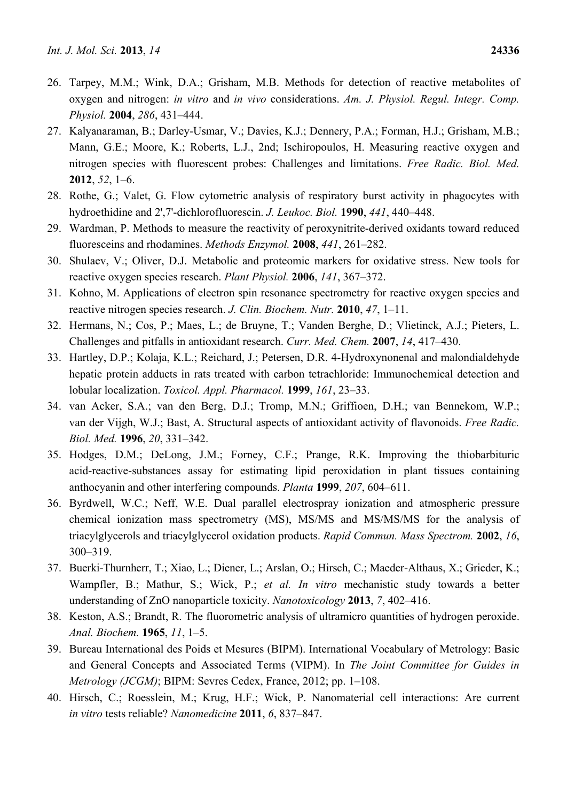- oxygen and nitrogen: *in vitro* and *in vivo* considerations. *Am. J. Physiol. Regul. Integr. Comp. Physiol.* **2004**, *286*, 431–444.
- 27. Kalyanaraman, B.; Darley-Usmar, V.; Davies, K.J.; Dennery, P.A.; Forman, H.J.; Grisham, M.B.; Mann, G.E.; Moore, K.; Roberts, L.J., 2nd; Ischiropoulos, H. Measuring reactive oxygen and nitrogen species with fluorescent probes: Challenges and limitations. *Free Radic. Biol. Med.*  **2012**, *52*, 1–6.
- 28. Rothe, G.; Valet, G. Flow cytometric analysis of respiratory burst activity in phagocytes with hydroethidine and 2',7'-dichlorofluorescin. *J. Leukoc. Biol.* **1990**, *441*, 440–448.
- 29. Wardman, P. Methods to measure the reactivity of peroxynitrite-derived oxidants toward reduced fluoresceins and rhodamines. *Methods Enzymol.* **2008**, *441*, 261–282.
- 30. Shulaev, V.; Oliver, D.J. Metabolic and proteomic markers for oxidative stress. New tools for reactive oxygen species research. *Plant Physiol.* **2006**, *141*, 367–372.
- 31. Kohno, M. Applications of electron spin resonance spectrometry for reactive oxygen species and reactive nitrogen species research. *J. Clin. Biochem. Nutr.* **2010**, *47*, 1–11.
- 32. Hermans, N.; Cos, P.; Maes, L.; de Bruyne, T.; Vanden Berghe, D.; Vlietinck, A.J.; Pieters, L. Challenges and pitfalls in antioxidant research. *Curr. Med. Chem.* **2007**, *14*, 417–430.
- 33. Hartley, D.P.; Kolaja, K.L.; Reichard, J.; Petersen, D.R. 4-Hydroxynonenal and malondialdehyde hepatic protein adducts in rats treated with carbon tetrachloride: Immunochemical detection and lobular localization. *Toxicol. Appl. Pharmacol.* **1999**, *161*, 23–33.
- 34. van Acker, S.A.; van den Berg, D.J.; Tromp, M.N.; Griffioen, D.H.; van Bennekom, W.P.; van der Vijgh, W.J.; Bast, A. Structural aspects of antioxidant activity of flavonoids. *Free Radic. Biol. Med.* **1996**, *20*, 331–342.
- 35. Hodges, D.M.; DeLong, J.M.; Forney, C.F.; Prange, R.K. Improving the thiobarbituric acid-reactive-substances assay for estimating lipid peroxidation in plant tissues containing anthocyanin and other interfering compounds. *Planta* **1999**, *207*, 604–611.
- 36. Byrdwell, W.C.; Neff, W.E. Dual parallel electrospray ionization and atmospheric pressure chemical ionization mass spectrometry (MS), MS/MS and MS/MS/MS for the analysis of triacylglycerols and triacylglycerol oxidation products. *Rapid Commun. Mass Spectrom.* **2002**, *16*, 300–319.
- 37. Buerki-Thurnherr, T.; Xiao, L.; Diener, L.; Arslan, O.; Hirsch, C.; Maeder-Althaus, X.; Grieder, K.; Wampfler, B.; Mathur, S.; Wick, P.; *et al. In vitro* mechanistic study towards a better understanding of ZnO nanoparticle toxicity. *Nanotoxicology* **2013**, *7*, 402–416.
- 38. Keston, A.S.; Brandt, R. The fluorometric analysis of ultramicro quantities of hydrogen peroxide. *Anal. Biochem.* **1965**, *11*, 1–5.
- 39. Bureau International des Poids et Mesures (BIPM). International Vocabulary of Metrology: Basic and General Concepts and Associated Terms (VIPM). In *The Joint Committee for Guides in Metrology (JCGM)*; BIPM: Sevres Cedex, France, 2012; pp. 1–108.
- 40. Hirsch, C.; Roesslein, M.; Krug, H.F.; Wick, P. Nanomaterial cell interactions: Are current *in vitro* tests reliable? *Nanomedicine* **2011**, *6*, 837–847.